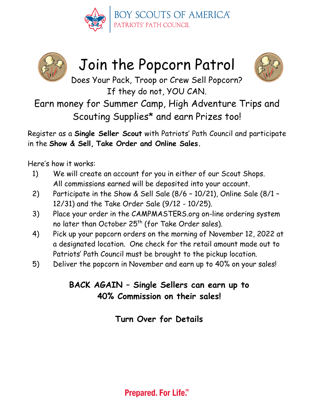



# Join the Popcorn Patrol



Does Your Pack, Troop or Crew Sell Popcorn? If they do not, YOU CAN.

Earn money for Summer Camp, High Adventure Trips and Scouting Supplies\* and earn Prizes too!

Register as a **Single Seller Scout** with Patriots' Path Council and participate in the **Show & Sell, Take Order and Online Sales.**

Here's how it works:

- 1) We will create an account for you in either of our Scout Shops. All commissions earned will be deposited into your account.
- 2) Participate in the Show & Sell Sale (8/6 10/21), Online Sale (8/1 12/31) and the Take Order Sale (9/12 - 10/25).
- 3) Place your order in the CAMPMASTERS.org on-line ordering system no later than October 25<sup>th</sup> (for Take Order sales).
- 4) Pick up your popcorn orders on the morning of November 12, 2022 at a designated location. One check for the retail amount made out to Patriots' Path Council must be brought to the pickup location.
- 5) Deliver the popcorn in November and earn up to 40% on your sales!

## **BACK AGAIN – Single Sellers can earn up to 40% Commission on their sales!**

**Turn Over for Details**

**Prepared. For Life.™**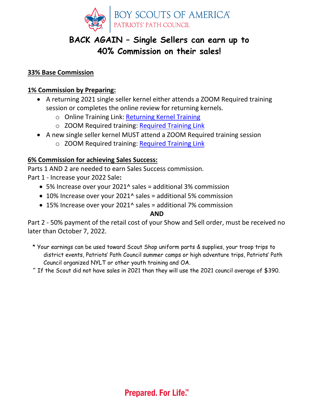

### **BACK AGAIN – Single Sellers can earn up to 40% Commission on their sales!**

#### **33% Base Commission**

#### **1% Commission by Preparing:**

- A returning 2021 single seller kernel either attends a ZOOM Required training session or completes the online review for returning kernels.
	- o Online Training Link: [Returning Kernel Training](https://ppcbsa.org/wp-content/uploads/CM-SYSTEM-GUIDE-Returning-UNIT-LEADER-2022-TRAINING.pdf)
	- o ZOOM Required training: [Required Training Link](https://scoutingevent.com/358-PopTrain)
- A new single seller kernel MUST attend a ZOOM Required training session
	- o ZOOM Required training: [Required Training Link](https://scoutingevent.com/358-PopTrain)

#### **6% Commission for achieving Sales Success:**

Parts 1 AND 2 are needed to earn Sales Success commission.

Part 1 - Increase your 2022 Sale**:** 

- 5% Increase over your 2021^ sales = additional 3% commission
- 10% Increase over your 2021^ sales = additional 5% commission
- 15% Increase over your 2021^ sales = additional 7% commission

#### **AND**

Part 2 - 50% payment of the retail cost of your Show and Sell order, must be received no later than October 7, 2022.

\* Your earnings can be used toward Scout Shop uniform parts & supplies, your troop trips to district events, Patriots' Path Council summer camps or high adventure trips, Patriots' Path Council organized NYLT or other youth training and OA.

^ If the Scout did not have sales in 2021 than they will use the 2021 council average of \$390.